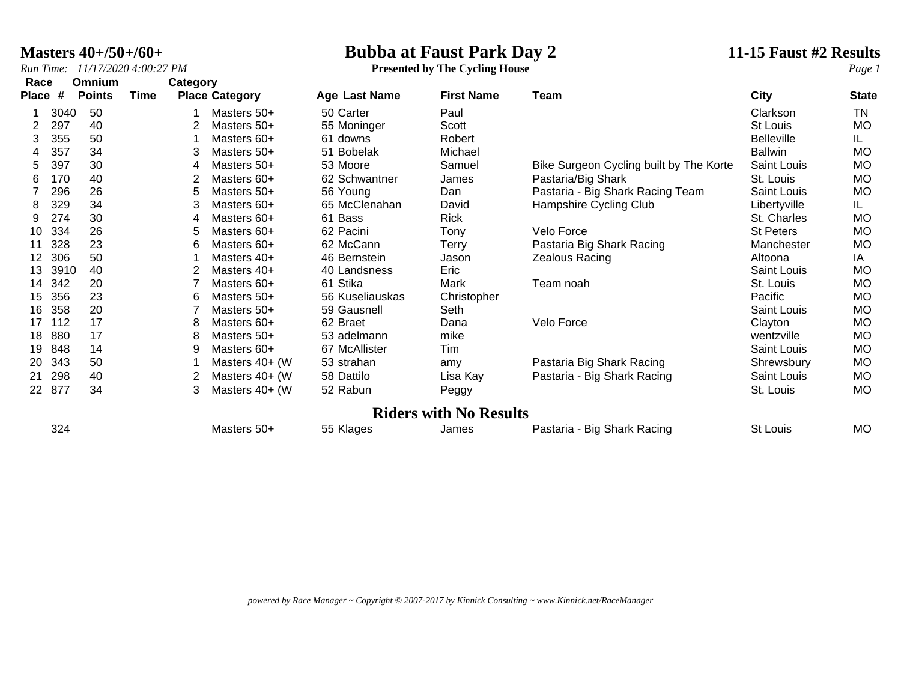### **Masters 40+/50+/60+ Bubba at Faust Park Day 2 11-15 Faust #2 Results**

*Run Time: 11/17/2020 4:00:27 PM* **Presented by The Cycling House** *Page 1*

| Race         |      | <b>Omnium</b> |      | Category |                       |                      |                               |                                         |                   |              |
|--------------|------|---------------|------|----------|-----------------------|----------------------|-------------------------------|-----------------------------------------|-------------------|--------------|
| <b>Place</b> | #    | <b>Points</b> | Time |          | <b>Place Category</b> | <b>Age Last Name</b> | <b>First Name</b>             | Team                                    | City              | <b>State</b> |
|              | 3040 | 50            |      |          | Masters 50+           | 50 Carter            | Paul                          |                                         | Clarkson          | TN           |
|              | 297  | 40            |      |          | Masters 50+           | 55 Moninger          | Scott                         |                                         | <b>St Louis</b>   | <b>MO</b>    |
| 3            | 355  | 50            |      |          | Masters 60+           | 61 downs             | Robert                        |                                         | <b>Belleville</b> | IL.          |
| 4            | 357  | 34            |      | 3        | Masters 50+           | 51 Bobelak           | Michael                       |                                         | <b>Ballwin</b>    | <b>MO</b>    |
| 5.           | 397  | 30            |      | 4        | Masters 50+           | 53 Moore             | Samuel                        | Bike Surgeon Cycling built by The Korte | Saint Louis       | <b>MO</b>    |
| 6            | 170  | 40            |      |          | Masters 60+           | 62 Schwantner        | James                         | Pastaria/Big Shark                      | St. Louis         | <b>MO</b>    |
|              | 296  | 26            |      | 5        | Masters 50+           | 56 Young             | Dan                           | Pastaria - Big Shark Racing Team        | Saint Louis       | <b>MO</b>    |
| 8            | 329  | 34            |      |          | Masters 60+           | 65 McClenahan        | David                         | Hampshire Cycling Club                  | Libertyville      | IL.          |
| 9            | 274  | 30            |      | 4        | Masters 60+           | 61 Bass              | <b>Rick</b>                   |                                         | St. Charles       | <b>MO</b>    |
| 10           | 334  | 26            |      | 5        | Masters 60+           | 62 Pacini            | Tony                          | Velo Force                              | <b>St Peters</b>  | MO           |
| 11           | 328  | 23            |      | 6        | Masters 60+           | 62 McCann            | Terry                         | Pastaria Big Shark Racing               | Manchester        | <b>MO</b>    |
| 12           | 306  | 50            |      |          | Masters 40+           | 46 Bernstein         | Jason                         | Zealous Racing                          | Altoona           | IA           |
| 13           | 3910 | 40            |      |          | Masters 40+           | 40 Landsness         | Eric                          |                                         | Saint Louis       | MO           |
| 14           | 342  | 20            |      |          | Masters 60+           | 61 Stika             | Mark                          | Team noah                               | St. Louis         | <b>MO</b>    |
| 15           | 356  | 23            |      | 6        | Masters 50+           | 56 Kuseliauskas      | Christopher                   |                                         | Pacific           | MO           |
| 16           | 358  | 20            |      |          | Masters 50+           | 59 Gausnell          | Seth                          |                                         | Saint Louis       | <b>MO</b>    |
| 17           | 112  | 17            |      | 8        | Masters 60+           | 62 Braet             | Dana                          | Velo Force                              | Clayton           | <b>MO</b>    |
| 18           | 880  | 17            |      | 8        | Masters 50+           | 53 adelmann          | mike                          |                                         | wentzville        | MO           |
| 19           | 848  | 14            |      | 9        | Masters 60+           | 67 McAllister        | Tim                           |                                         | Saint Louis       | MO           |
| 20           | 343  | 50            |      |          | Masters 40+ (W        | 53 strahan           | amy                           | Pastaria Big Shark Racing               | Shrewsbury        | <b>MO</b>    |
| 21           | 298  | 40            |      |          | Masters 40+ (W        | 58 Dattilo           | Lisa Kay                      | Pastaria - Big Shark Racing             | Saint Louis       | <b>MO</b>    |
| 22           | 877  | 34            |      | 3        | Masters 40+ (W)       | 52 Rabun             | Peggy                         |                                         | St. Louis         | <b>MO</b>    |
|              |      |               |      |          |                       |                      | <b>Riders with No Results</b> |                                         |                   |              |

Masters 50+ 55 Klages James Pastaria - Big Shark Racing St Louis MO

*powered by Race Manager ~ Copyright © 2007-2017 by Kinnick Consulting ~ www.Kinnick.net/RaceManager*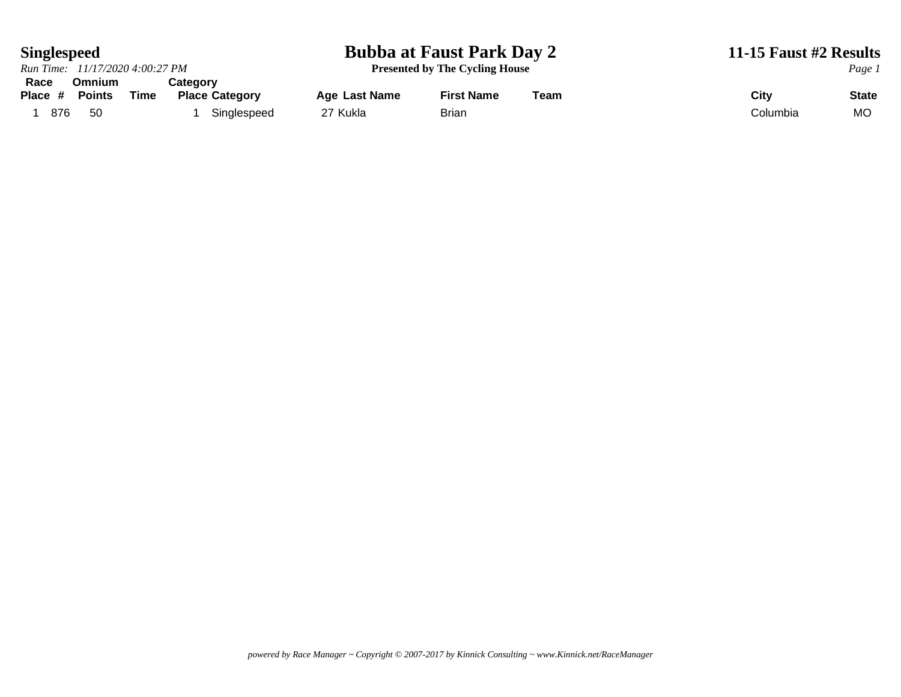### **Singlespeed Bubba at Faust Park Day 2 11-15 Faust #2 Results**

*Run Time: 11/17/2020 4:00:27 PM* **Presented by The Cycling House** *Page 1* **Race Omnium Category Place Category Age Last Name First Name Team City City State** 

1 876 50 1 Singlespeed 27 Kukla Brian Brian Columbia Columbia MO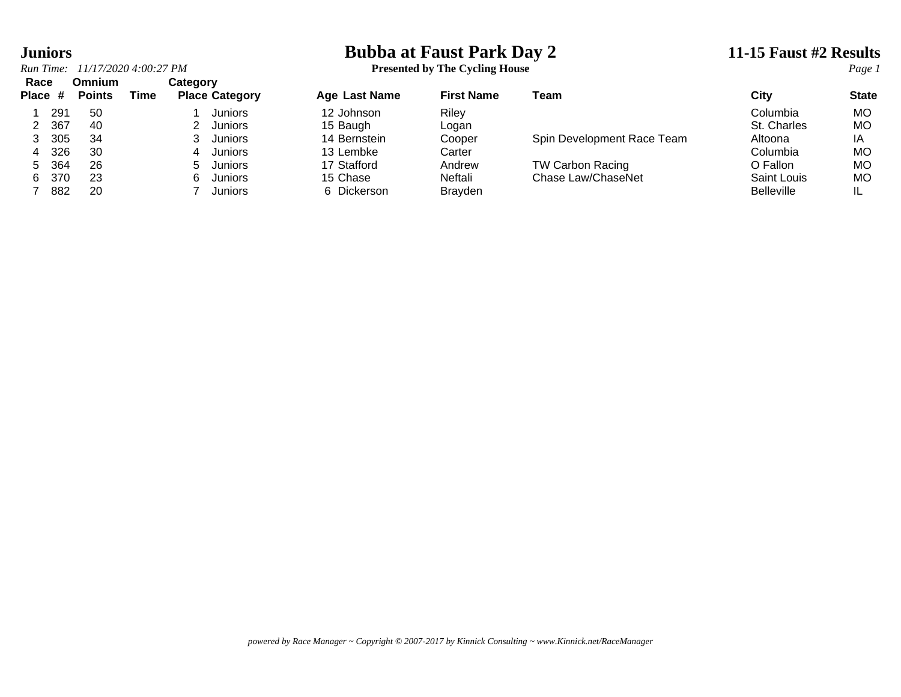# **Juniors**<br> **Bubba at Faust Park Day 2** 11-15 Faust #2 Results<br> **Presented by The Cycling House**

| The Cycling House<br>11/17/2020 4:00:27 PM<br>Run Time:<br>Presented by | Page |  |
|-------------------------------------------------------------------------|------|--|
|-------------------------------------------------------------------------|------|--|

| Race<br>Place # | Omnium<br><b>Points</b> | Time | Category | <b>Place Category</b> | <b>Age Last Name</b> | <b>First Name</b> | Team                       | City              | <b>State</b> |
|-----------------|-------------------------|------|----------|-----------------------|----------------------|-------------------|----------------------------|-------------------|--------------|
| 291             | -50                     |      |          | <b>Juniors</b>        | 12 Johnson           | Riley             |                            | Columbia          | MO           |
| 367             | -40                     |      |          | Juniors               | 15 Baugh             | Logan             |                            | St. Charles       | MO           |
| 305             | 34                      |      |          | Juniors               | 14 Bernstein         | Cooper            | Spin Development Race Team | Altoona           | ΙA           |
| 326<br>4        | 30                      |      |          | Juniors               | 13 Lembke            | Carter            |                            | Columbia          | MO           |
| 364<br>5.       | 26                      |      | b.       | Juniors               | 17 Stafford          | Andrew            | <b>TW Carbon Racing</b>    | O Fallon          | MО           |
| 370<br>6.       | 23                      |      | 6.       | Juniors               | 15 Chase             | Neftali           | Chase Law/ChaseNet         | Saint Louis       | MO           |
| 882             | 20                      |      |          | Juniors               | 6 Dickerson          | <b>Brayden</b>    |                            | <b>Belleville</b> | IL           |
|                 |                         |      |          |                       |                      |                   |                            |                   |              |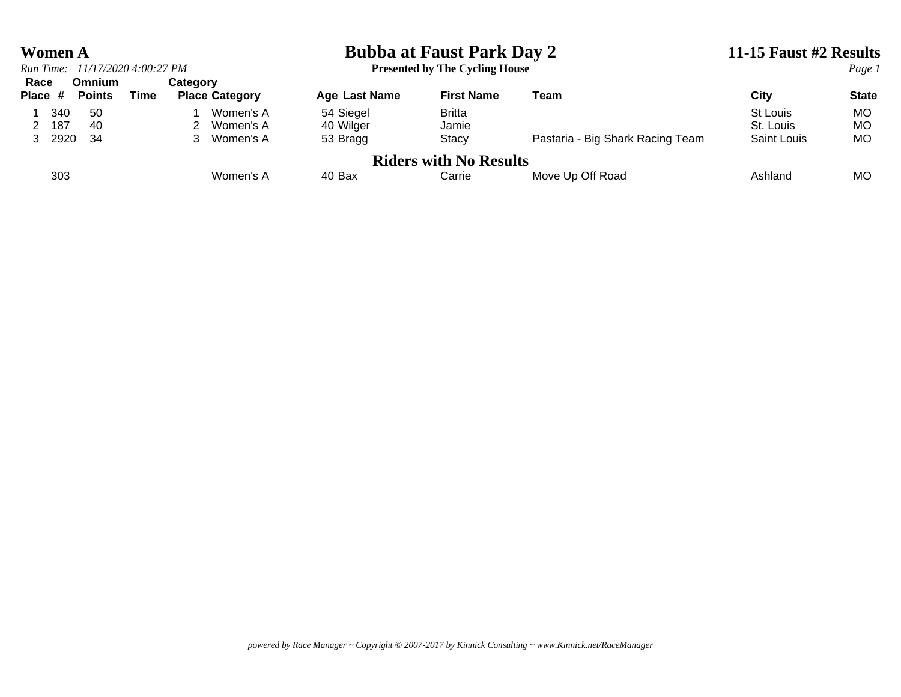## *Run Time:*  $11/17/20204:00:27 PM$

# **Women A**<br> **Bubba at Faust Park Day 2**<br> **Presented by The Cycling House**<br> **Presented by The Cycling House**<br> **Presented by The Cycling House**

| <b>Presented by The Cycling House</b> |  |  |  |
|---------------------------------------|--|--|--|
|---------------------------------------|--|--|--|

| Race    |      | Omnium        |      | Categorv |                       |               |                               |                                  |                    |              |
|---------|------|---------------|------|----------|-----------------------|---------------|-------------------------------|----------------------------------|--------------------|--------------|
| Place # |      | <b>Points</b> | Time |          | <b>Place Category</b> | Age Last Name | <b>First Name</b>             | Team                             | City               | <b>State</b> |
|         | 340  | -50           |      |          | Women's A             | 54 Siegel     | <b>Britta</b>                 |                                  | St Louis           | MO           |
|         | 187  | -40           |      |          | Women's A             | 40 Wilger     | Jamie                         |                                  | St. Louis          | MO           |
|         | 2920 | -34           |      |          | Women's A             | 53 Bragg      | Stacy                         | Pastaria - Big Shark Racing Team | <b>Saint Louis</b> | МO           |
|         |      |               |      |          |                       |               | <b>Riders with No Results</b> |                                  |                    |              |
|         | 303  |               |      |          | Women's A             | 40 Bax        | Carrie                        | Move Up Off Road                 | Ashland            | MO           |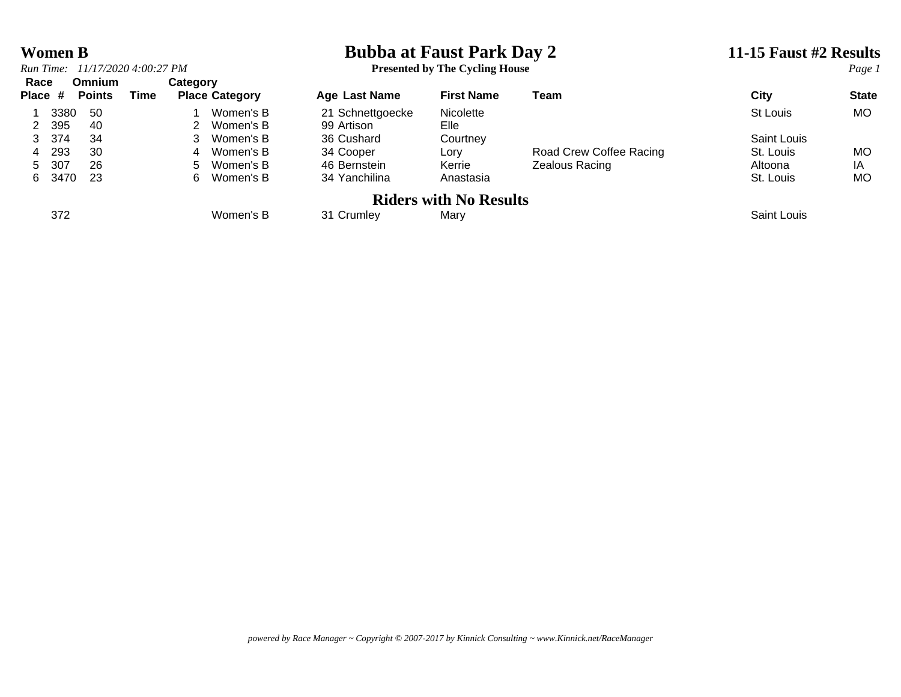## **Women B**<br> **Bubba at Faust Park Day 2** 11-15 Faust #2 Results<br> **Bubba at Faust Park Day 2** 11-15 Faust #2 Results<br> **Page 1**

**Presented by The Cycling House** 

| Race    |      | Omnium        |      | Category |                       |                  |                               |                         |                    |              |
|---------|------|---------------|------|----------|-----------------------|------------------|-------------------------------|-------------------------|--------------------|--------------|
| Place # |      | <b>Points</b> | Time |          | <b>Place Category</b> | Age Last Name    | <b>First Name</b>             | Team                    | City               | <b>State</b> |
|         | 3380 | 50            |      |          | Women's B             | 21 Schnettgoecke | Nicolette                     |                         | St Louis           | <b>MO</b>    |
| 2 395   |      | 40            |      |          | 2 Women's B           | 99 Artison       | Elle                          |                         |                    |              |
| 3 374   |      | 34            |      |          | 3 Women's B           | 36 Cushard       | Courtney                      |                         | Saint Louis        |              |
| 4       | 293  | 30            |      |          | 4 Women's B           | 34 Cooper        | Lory                          | Road Crew Coffee Racing | St. Louis          | MO           |
| 5       | 307  | 26            |      |          | 5 Women's B           | 46 Bernstein     | Kerrie                        | Zealous Racing          | Altoona            | ΙA           |
| 6.      | 3470 | -23           |      | 6.       | Women's B             | 34 Yanchilina    | Anastasia                     |                         | St. Louis          | MO           |
|         |      |               |      |          |                       |                  | <b>Riders with No Results</b> |                         |                    |              |
|         | 372  |               |      |          | Women's B             | 31 Crumley       | Marv                          |                         | <b>Saint Louis</b> |              |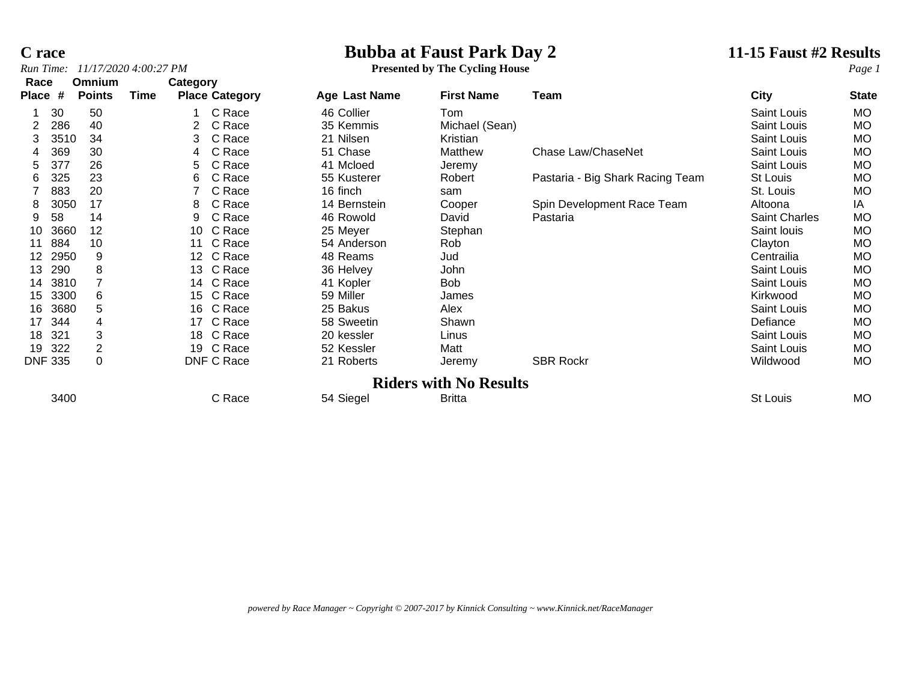### **C race Bubba at Faust Park Day 2 11-15 Faust #2 Results**

| Run Time:      |      |               | 11/17/2020 4:00:27 PM |                 |                       | <b>Presented by The Cycling House</b> |                               |                                  |               | Page 1       |
|----------------|------|---------------|-----------------------|-----------------|-----------------------|---------------------------------------|-------------------------------|----------------------------------|---------------|--------------|
| Race           |      | Omnium        |                       | Category        |                       |                                       |                               |                                  |               |              |
| <b>Place</b>   | #    | <b>Points</b> | Time                  |                 | <b>Place Category</b> | Age Last Name                         | <b>First Name</b>             | Team                             | <b>City</b>   | <b>State</b> |
|                | 30   | 50            |                       |                 | C Race                | 46 Collier                            | Tom                           |                                  | Saint Louis   | MO.          |
|                | 286  | 40            |                       | 2               | C Race                | 35 Kemmis                             | Michael (Sean)                |                                  | Saint Louis   | <b>MO</b>    |
| 3              | 3510 | 34            |                       | 3               | C Race                | 21 Nilsen                             | Kristian                      |                                  | Saint Louis   | MO.          |
|                | 369  | 30            |                       | 4               | C Race                | 51 Chase                              | Matthew                       | Chase Law/ChaseNet               | Saint Louis   | МO           |
| 5              | 377  | 26            |                       | 5               | C Race                | 41 Mcloed                             | Jeremy                        |                                  | Saint Louis   | <b>MO</b>    |
| 6              | 325  | 23            |                       | 6               | C Race                | 55 Kusterer                           | Robert                        | Pastaria - Big Shark Racing Team | St Louis      | MO.          |
|                | 883  | 20            |                       |                 | C Race                | 16 finch                              | sam                           |                                  | St. Louis     | <b>MO</b>    |
| 8              | 3050 | 17            |                       | 8               | C Race                | 14 Bernstein                          | Cooper                        | Spin Development Race Team       | Altoona       | IA           |
| 9              | 58   | 14            |                       | 9               | C Race                | 46 Rowold                             | David                         | Pastaria                         | Saint Charles | MO.          |
| 10             | 3660 | 12            |                       |                 | 10 C Race             | 25 Meyer                              | Stephan                       |                                  | Saint Iouis   | <b>MO</b>    |
|                | 884  | 10            |                       |                 | 11 C Race             | 54 Anderson                           | Rob                           |                                  | Clayton       | MO.          |
| 12             | 2950 | 9             |                       | 12 <sup>2</sup> | C Race                | 48 Reams                              | Jud                           |                                  | Centrailia    | <b>MO</b>    |
| 13             | 290  | 8             |                       |                 | 13 C Race             | 36 Helvey                             | John                          |                                  | Saint Louis   | <b>MO</b>    |
| 14             | 3810 |               |                       |                 | 14 C Race             | 41 Kopler                             | <b>Bob</b>                    |                                  | Saint Louis   | MO.          |
| 15             | 3300 | 6             |                       | 15              | C Race                | 59 Miller                             | James                         |                                  | Kirkwood      | <b>MO</b>    |
| 16             | 3680 | 5             |                       | 16              | C Race                | 25 Bakus                              | Alex                          |                                  | Saint Louis   | <b>MO</b>    |
| 17             | 344  |               |                       | 17              | C Race                | 58 Sweetin                            | Shawn                         |                                  | Defiance      | <b>MO</b>    |
| 18             | 321  | 3             |                       |                 | 18 C Race             | 20 kessler                            | Linus                         |                                  | Saint Louis   | MO.          |
| 19             | 322  | 2             |                       |                 | 19 C Race             | 52 Kessler                            | Matt                          |                                  | Saint Louis   | MO.          |
| <b>DNF 335</b> |      | 0             |                       |                 | DNF C Race            | 21 Roberts                            | Jeremy                        | <b>SBR Rockr</b>                 | Wildwood      | MO.          |
|                |      |               |                       |                 |                       |                                       | <b>Riders with No Results</b> |                                  |               |              |
|                | 3400 |               |                       |                 | C Race                | 54 Siegel                             | <b>Britta</b>                 |                                  | St Louis      | <b>MO</b>    |

*powered by Race Manager ~ Copyright © 2007-2017 by Kinnick Consulting ~ www.Kinnick.net/RaceManager*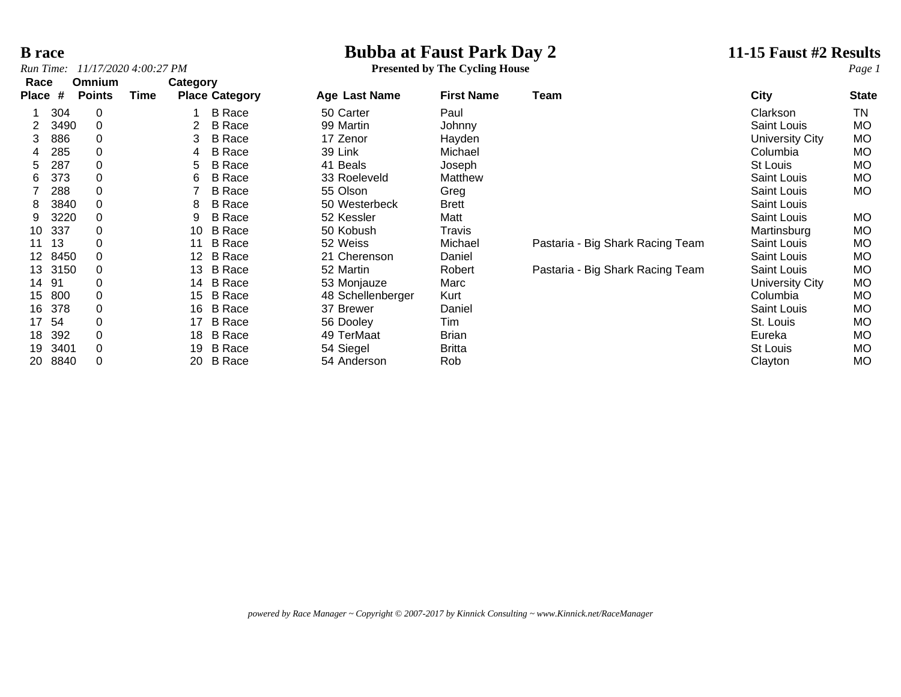# **B race**<br> **Bubba at Faust Park Day 2**<br> **Bubba at Faust Park Day 2**<br> **Presented by The Cycling House**<br> **Presented by The Cycling House**

*Run Time: 11/17/2020 4:00:27 PM* **Presented by The Cycling House** *Page 1*

| Race  |      | Omnium        |      | Category        |                       |                   |                   |                                  |                 |              |
|-------|------|---------------|------|-----------------|-----------------------|-------------------|-------------------|----------------------------------|-----------------|--------------|
| Place | #    | <b>Points</b> | Time |                 | <b>Place Category</b> | Age Last Name     | <b>First Name</b> | Team                             | <b>City</b>     | <b>State</b> |
|       | 304  | 0             |      |                 | <b>B</b> Race         | 50 Carter         | Paul              |                                  | Clarkson        | ΤN           |
| 2     | 3490 | 0             |      | $\overline{2}$  | <b>B</b> Race         | 99 Martin         | Johnny            |                                  | Saint Louis     | <b>MO</b>    |
| 3     | 886  | 0             |      | 3               | <b>B</b> Race         | 17 Zenor          | Hayden            |                                  | University City | МO           |
|       | 285  | 0             |      | 4               | <b>B</b> Race         | 39 Link           | Michael           |                                  | Columbia        | <b>MO</b>    |
| 5.    | 287  | 0             |      | 5               | <b>B</b> Race         | 41 Beals          | Joseph            |                                  | St Louis        | <b>MO</b>    |
| 6     | 373  | 0             |      | 6               | <b>B</b> Race         | 33 Roeleveld      | Matthew           |                                  | Saint Louis     | <b>MO</b>    |
|       | 288  | 0             |      |                 | <b>B</b> Race         | 55 Olson          | Greg              |                                  | Saint Louis     | MO           |
| 8     | 3840 | 0             |      | 8               | <b>B</b> Race         | 50 Westerbeck     | <b>Brett</b>      |                                  | Saint Louis     |              |
| 9     | 3220 | 0             |      | 9               | <b>B</b> Race         | 52 Kessler        | Matt              |                                  | Saint Louis     | MO.          |
| 10    | 337  | 0             |      | 10              | <b>B</b> Race         | 50 Kobush         | Travis            |                                  | Martinsburg     | <b>MO</b>    |
| 11    | 13   | 0             |      | 11              | <b>B</b> Race         | 52 Weiss          | Michael           | Pastaria - Big Shark Racing Team | Saint Louis     | <b>MO</b>    |
| 12    | 8450 | 0             |      | 12 <sup>°</sup> | <b>B</b> Race         | 21 Cherenson      | Daniel            |                                  | Saint Louis     | МO           |
| 13    | 3150 | 0             |      | 13              | <b>B</b> Race         | 52 Martin         | Robert            | Pastaria - Big Shark Racing Team | Saint Louis     | <b>MO</b>    |
| 14    | 91   | 0             |      | 14              | <b>B</b> Race         | 53 Monjauze       | Marc              |                                  | University City | <b>MO</b>    |
| 15    | 800  | 0             |      | 15              | <b>B</b> Race         | 48 Schellenberger | Kurt              |                                  | Columbia        | <b>MO</b>    |
| 16    | 378  | 0             |      | 16              | <b>B</b> Race         | 37 Brewer         | Daniel            |                                  | Saint Louis     | MO           |
| 17    | 54   | 0             |      | 17              | <b>B</b> Race         | 56 Dooley         | Tim               |                                  | St. Louis       | МO           |
| 18    | 392  | 0             |      | 18              | B Race                | 49 TerMaat        | Brian             |                                  | Eureka          | <b>MO</b>    |
| 19    | 3401 | $\Omega$      |      | 19              | <b>B</b> Race         | 54 Siegel         | <b>Britta</b>     |                                  | St Louis        | <b>MO</b>    |
| 20    | 8840 | 0             |      | 20              | <b>B</b> Race         | 54 Anderson       | Rob               |                                  | Clayton         | МO           |